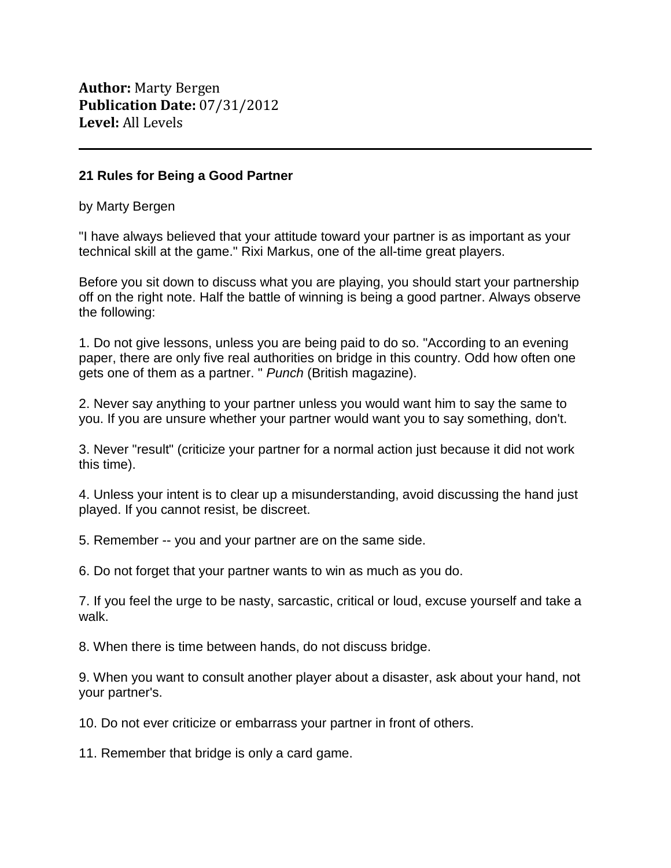**Author:** Marty Bergen **Publication Date:** 07/31/2012 **Level:** All Levels

## **21 Rules for Being a Good Partner**

by Marty Bergen

"I have always believed that your attitude toward your partner is as important as your technical skill at the game." Rixi Markus, one of the all-time great players.

Before you sit down to discuss what you are playing, you should start your partnership off on the right note. Half the battle of winning is being a good partner. Always observe the following:

1. Do not give lessons, unless you are being paid to do so. "According to an evening paper, there are only five real authorities on bridge in this country. Odd how often one gets one of them as a partner. " *Punch* (British magazine).

2. Never say anything to your partner unless you would want him to say the same to you. If you are unsure whether your partner would want you to say something, don't.

3. Never "result" (criticize your partner for a normal action just because it did not work this time).

4. Unless your intent is to clear up a misunderstanding, avoid discussing the hand just played. If you cannot resist, be discreet.

5. Remember -- you and your partner are on the same side.

6. Do not forget that your partner wants to win as much as you do.

7. If you feel the urge to be nasty, sarcastic, critical or loud, excuse yourself and take a walk.

8. When there is time between hands, do not discuss bridge.

9. When you want to consult another player about a disaster, ask about your hand, not your partner's.

10. Do not ever criticize or embarrass your partner in front of others.

11. Remember that bridge is only a card game.